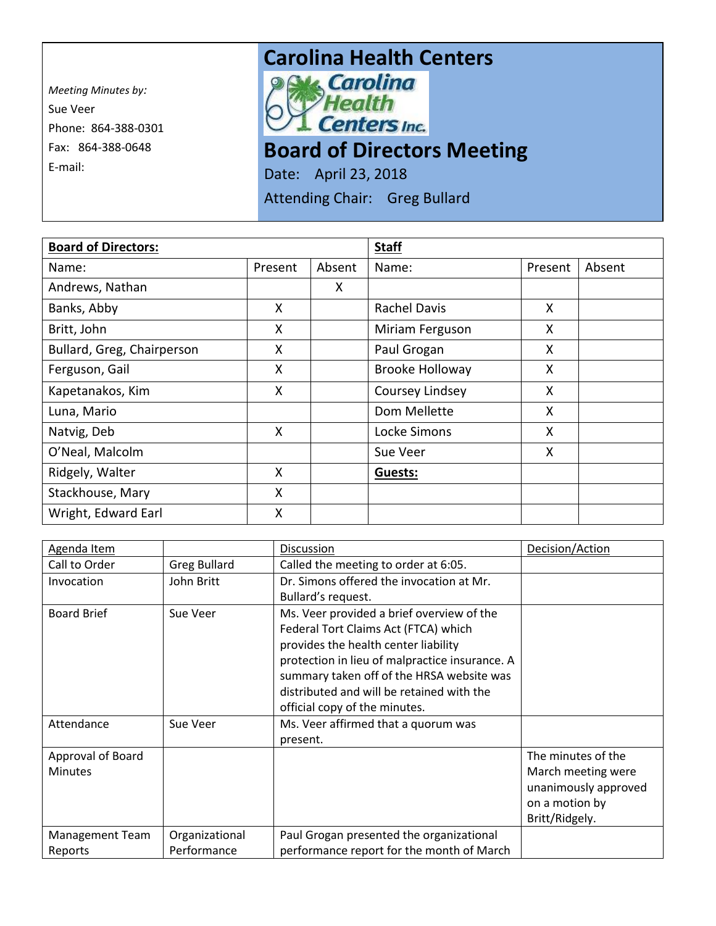*Meeting Minutes by:* Sue Veer Phone: 864-388-0301 Fax: 864-388-0648 E-mail:



## **Board of Directors Meeting**

Date: April 23, 2018

Attending Chair: Greg Bullard

| <b>Board of Directors:</b> |         |        | <b>Staff</b>           |         |        |
|----------------------------|---------|--------|------------------------|---------|--------|
| Name:                      | Present | Absent | Name:                  | Present | Absent |
| Andrews, Nathan            |         | X.     |                        |         |        |
| Banks, Abby                | X       |        | <b>Rachel Davis</b>    | X       |        |
| Britt, John                | X       |        | Miriam Ferguson        | X       |        |
| Bullard, Greg, Chairperson | X       |        | Paul Grogan            | X       |        |
| Ferguson, Gail             | X       |        | <b>Brooke Holloway</b> | X       |        |
| Kapetanakos, Kim           | X       |        | Coursey Lindsey        | X       |        |
| Luna, Mario                |         |        | Dom Mellette           | X       |        |
| Natvig, Deb                | X       |        | Locke Simons           | X       |        |
| O'Neal, Malcolm            |         |        | Sue Veer               | X       |        |
| Ridgely, Walter            | X       |        | Guests:                |         |        |
| Stackhouse, Mary           | X       |        |                        |         |        |
| Wright, Edward Earl        | X       |        |                        |         |        |

| Agenda Item            |                     | Discussion                                     | Decision/Action      |
|------------------------|---------------------|------------------------------------------------|----------------------|
| Call to Order          | <b>Greg Bullard</b> | Called the meeting to order at 6:05.           |                      |
| Invocation             | John Britt          | Dr. Simons offered the invocation at Mr.       |                      |
|                        |                     | Bullard's request.                             |                      |
| <b>Board Brief</b>     | Sue Veer            | Ms. Veer provided a brief overview of the      |                      |
|                        |                     | Federal Tort Claims Act (FTCA) which           |                      |
|                        |                     | provides the health center liability           |                      |
|                        |                     | protection in lieu of malpractice insurance. A |                      |
|                        |                     | summary taken off of the HRSA website was      |                      |
|                        |                     | distributed and will be retained with the      |                      |
|                        |                     | official copy of the minutes.                  |                      |
| Attendance             | Sue Veer            | Ms. Veer affirmed that a quorum was            |                      |
|                        |                     | present.                                       |                      |
| Approval of Board      |                     |                                                | The minutes of the   |
| <b>Minutes</b>         |                     |                                                | March meeting were   |
|                        |                     |                                                | unanimously approved |
|                        |                     |                                                | on a motion by       |
|                        |                     |                                                | Britt/Ridgely.       |
| <b>Management Team</b> | Organizational      | Paul Grogan presented the organizational       |                      |
| Reports                | Performance         | performance report for the month of March      |                      |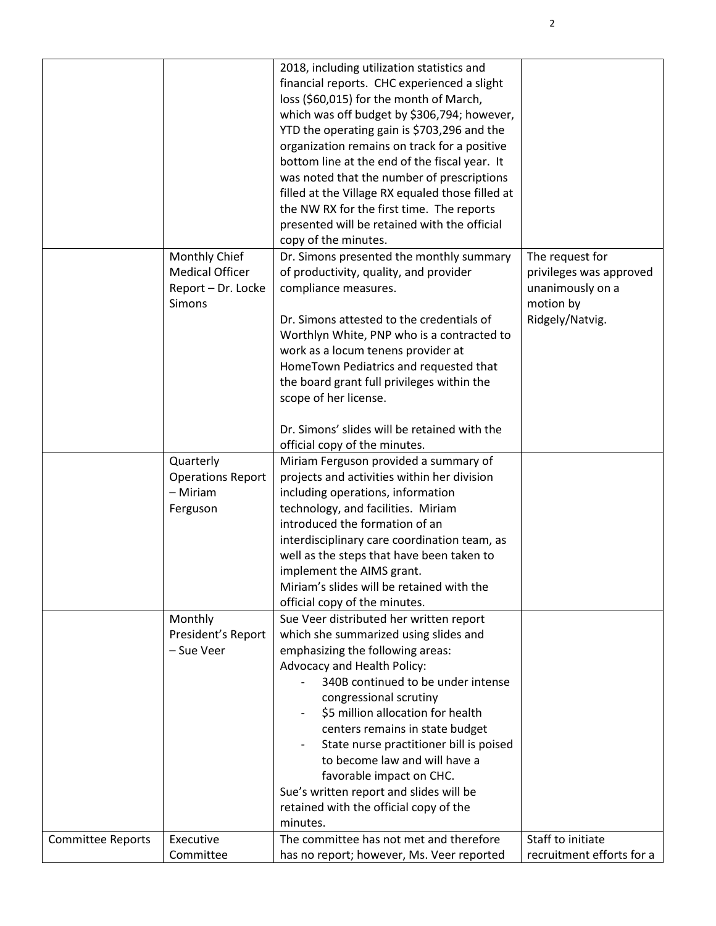|                   |                          | 2018, including utilization statistics and<br>financial reports. CHC experienced a slight<br>loss (\$60,015) for the month of March,<br>which was off budget by \$306,794; however,<br>YTD the operating gain is \$703,296 and the<br>organization remains on track for a positive<br>bottom line at the end of the fiscal year. It<br>was noted that the number of prescriptions<br>filled at the Village RX equaled those filled at<br>the NW RX for the first time. The reports<br>presented will be retained with the official<br>copy of the minutes. |                              |
|-------------------|--------------------------|------------------------------------------------------------------------------------------------------------------------------------------------------------------------------------------------------------------------------------------------------------------------------------------------------------------------------------------------------------------------------------------------------------------------------------------------------------------------------------------------------------------------------------------------------------|------------------------------|
|                   | Monthly Chief            | Dr. Simons presented the monthly summary                                                                                                                                                                                                                                                                                                                                                                                                                                                                                                                   | The request for              |
|                   | <b>Medical Officer</b>   | of productivity, quality, and provider                                                                                                                                                                                                                                                                                                                                                                                                                                                                                                                     | privileges was approved      |
|                   | Report - Dr. Locke       | compliance measures.                                                                                                                                                                                                                                                                                                                                                                                                                                                                                                                                       | unanimously on a             |
|                   | <b>Simons</b>            | Dr. Simons attested to the credentials of                                                                                                                                                                                                                                                                                                                                                                                                                                                                                                                  | motion by<br>Ridgely/Natvig. |
|                   |                          | Worthlyn White, PNP who is a contracted to                                                                                                                                                                                                                                                                                                                                                                                                                                                                                                                 |                              |
|                   |                          | work as a locum tenens provider at                                                                                                                                                                                                                                                                                                                                                                                                                                                                                                                         |                              |
|                   |                          | HomeTown Pediatrics and requested that                                                                                                                                                                                                                                                                                                                                                                                                                                                                                                                     |                              |
|                   |                          | the board grant full privileges within the                                                                                                                                                                                                                                                                                                                                                                                                                                                                                                                 |                              |
|                   |                          | scope of her license.                                                                                                                                                                                                                                                                                                                                                                                                                                                                                                                                      |                              |
|                   |                          |                                                                                                                                                                                                                                                                                                                                                                                                                                                                                                                                                            |                              |
|                   |                          | Dr. Simons' slides will be retained with the<br>official copy of the minutes.                                                                                                                                                                                                                                                                                                                                                                                                                                                                              |                              |
|                   | Quarterly                | Miriam Ferguson provided a summary of                                                                                                                                                                                                                                                                                                                                                                                                                                                                                                                      |                              |
|                   | <b>Operations Report</b> | projects and activities within her division                                                                                                                                                                                                                                                                                                                                                                                                                                                                                                                |                              |
|                   | - Miriam                 | including operations, information                                                                                                                                                                                                                                                                                                                                                                                                                                                                                                                          |                              |
|                   | Ferguson                 | technology, and facilities. Miriam                                                                                                                                                                                                                                                                                                                                                                                                                                                                                                                         |                              |
|                   |                          | introduced the formation of an                                                                                                                                                                                                                                                                                                                                                                                                                                                                                                                             |                              |
|                   |                          | interdisciplinary care coordination team, as                                                                                                                                                                                                                                                                                                                                                                                                                                                                                                               |                              |
|                   |                          | well as the steps that have been taken to                                                                                                                                                                                                                                                                                                                                                                                                                                                                                                                  |                              |
|                   |                          | implement the AIMS grant.                                                                                                                                                                                                                                                                                                                                                                                                                                                                                                                                  |                              |
|                   |                          | Miriam's slides will be retained with the                                                                                                                                                                                                                                                                                                                                                                                                                                                                                                                  |                              |
|                   | Monthly                  | official copy of the minutes.<br>Sue Veer distributed her written report                                                                                                                                                                                                                                                                                                                                                                                                                                                                                   |                              |
|                   | President's Report       | which she summarized using slides and                                                                                                                                                                                                                                                                                                                                                                                                                                                                                                                      |                              |
|                   | - Sue Veer               | emphasizing the following areas:                                                                                                                                                                                                                                                                                                                                                                                                                                                                                                                           |                              |
|                   |                          | Advocacy and Health Policy:                                                                                                                                                                                                                                                                                                                                                                                                                                                                                                                                |                              |
|                   |                          | 340B continued to be under intense                                                                                                                                                                                                                                                                                                                                                                                                                                                                                                                         |                              |
|                   |                          | congressional scrutiny                                                                                                                                                                                                                                                                                                                                                                                                                                                                                                                                     |                              |
|                   |                          | \$5 million allocation for health                                                                                                                                                                                                                                                                                                                                                                                                                                                                                                                          |                              |
|                   |                          | centers remains in state budget                                                                                                                                                                                                                                                                                                                                                                                                                                                                                                                            |                              |
|                   |                          | State nurse practitioner bill is poised<br>to become law and will have a                                                                                                                                                                                                                                                                                                                                                                                                                                                                                   |                              |
|                   |                          | favorable impact on CHC.                                                                                                                                                                                                                                                                                                                                                                                                                                                                                                                                   |                              |
|                   |                          | Sue's written report and slides will be                                                                                                                                                                                                                                                                                                                                                                                                                                                                                                                    |                              |
|                   |                          | retained with the official copy of the                                                                                                                                                                                                                                                                                                                                                                                                                                                                                                                     |                              |
|                   |                          | minutes.                                                                                                                                                                                                                                                                                                                                                                                                                                                                                                                                                   |                              |
| Committee Reports | Executive                | The committee has not met and therefore                                                                                                                                                                                                                                                                                                                                                                                                                                                                                                                    | Staff to initiate            |
|                   | Committee                | has no report; however, Ms. Veer reported                                                                                                                                                                                                                                                                                                                                                                                                                                                                                                                  | recruitment efforts for a    |

2